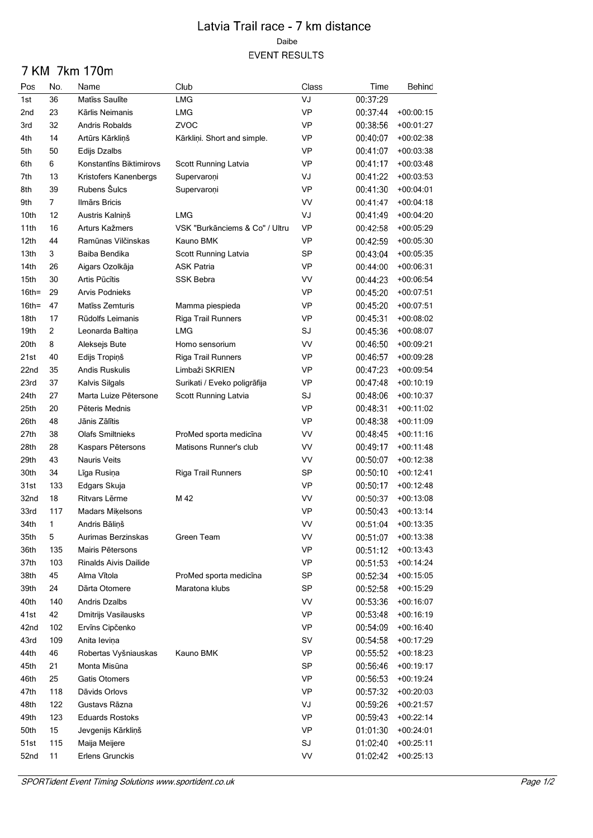## Latvia Trail race - 7 km distance Daibe **EVENT RESULTS**

## 7 KM 7km 170m

| Pos      | No.            | Name                    | Club                           | Class     | Time                 | Behind                     |
|----------|----------------|-------------------------|--------------------------------|-----------|----------------------|----------------------------|
| 1st      | 36             | Matiss Saulite          | LMG                            | VJ        | 00:37:29             |                            |
| 2nd      | 23             | Kārlis Neimanis         | LMG                            | <b>VP</b> | 00:37:44             | $+00:00:15$                |
| 3rd      | 32             | Andris Robalds          | ZVOC                           | <b>VP</b> | 00:38:56             | $+00:01:27$                |
| 4th      | 14             | Artūrs Kārkliņš         | Kārkliņi. Short and simple.    | <b>VP</b> | 00:40:07             | $+00:02:38$                |
| 5th      | 50             | Edijs Dzalbs            |                                | VP        | 00:41:07             | $+00:03:38$                |
| 6th      | 6              | Konstantīns Biktimirovs | Scott Running Latvia           | VP        | 00:41:17             | $+00:03:48$                |
| 7th      | 13             | Kristofers Kanenbergs   | Supervaroni                    | VJ        | 00:41:22             | $+00:03:53$                |
| 8th      | 39             | Rubens Šulcs            | Supervaroni                    | <b>VP</b> | 00:41:30             | $+00:04:01$                |
| 9th      | $\overline{7}$ | Ilmārs Bricis           |                                | <b>VV</b> | 00:41:47             | +00:04:18                  |
| 10th     | 12             | Austris Kalniņš         | LMG                            | VJ        | 00:41:49             | $+00:04:20$                |
| 11th     | 16             | Arturs Kažmers          | VSK "Burkānciems & Co" / Ultru | <b>VP</b> | 00:42:58             | $+00:05:29$                |
| 12th     | 44             | Ramūnas Vilčinskas      | Kauno BMK                      | <b>VP</b> | 00:42:59             | $+00:05:30$                |
| 13th     | 3              | Baiba Bendika           | Scott Running Latvia           | <b>SP</b> | 00:43:04             | $+00:05:35$                |
| 14th     | 26             | Aigars Ozolkāja         | <b>ASK Patria</b>              | <b>VP</b> | 00:44:00             | $+00:06:31$                |
| 15th     | 30             | Artis Pūcītis           | <b>SSK Bebra</b>               | <b>VV</b> | 00:44:23             | $+00:06:54$                |
| $16th =$ | 29             | Arvis Podnieks          |                                | <b>VP</b> | 00:45:20             | $+00:07:51$                |
| $16th =$ | 47             | Matīss Zemturis         | Mamma piespieda                | VP        | 00:45:20             | $+00.07.51$                |
| 18th     | 17             | Rūdolfs Leimanis        | Riga Trail Runners             | VP        | 00:45:31             | $+00:08:02$                |
| 19th     | 2              | Leonarda Baltina        | LMG                            | SJ        | 00:45:36             | $+00.08:07$                |
| 20th     | 8              | Aleksejs Bute           | Homo sensorium                 | <b>VV</b> | 00:46:50             | $+00:09:21$                |
| 21st     | 40             | Edijs Tropiņš           | Riga Trail Runners             | VP        | 00:46:57             | +00:09:28                  |
| 22nd     | 35             | Andis Ruskulis          | Limbaži SKRIEN                 | VP        | 00:47:23             | $+00.09.54$                |
| 23rd     | 37             | Kalvis Silgals          | Surikati / Eveko poligrāfija   | <b>VP</b> | 00:47:48             | $+00:10:19$                |
| 24th     | 27             | Marta Luize Pētersone   | Scott Running Latvia           | SJ        | 00:48:06             | $+00:10:37$                |
| 25th     | 20             | Pēteris Mednis          |                                | <b>VP</b> | 00:48:31             | $+00:11:02$                |
| 26th     | 48             | Jānis Zālītis           |                                | VP        | 00:48:38             | $+00:11:09$                |
| 27th     | 38             | <b>Olafs Smiltnieks</b> | ProMed sporta medicina         | <b>VV</b> | 00:48:45             | +00:11:16                  |
| 28th     | 28             | Kaspars Pētersons       | Matisons Runner's club         | <b>VV</b> | 00:49:17             | $+00:11:48$                |
| 29th     | 43             | Nauris Veits            |                                | VV        | 00:50:07             | $+00:12:38$                |
| 30th     | 34             | Līga Rusiņa             | Riga Trail Runners             | SP        | 00:50:10             | $+00:12:41$                |
| 31st     | 133            | Edgars Skuja            |                                | VP        | 00:50:17             | $+00:12:48$                |
| 32nd     | 18             | Ritvars Lērme           | M 42                           | VV        | 00:50:37             | $+00:13:08$                |
| 33rd     | 117            | Madars Mikelsons        |                                | <b>VP</b> | 00:50:43             | $+00:13:14$                |
| 34th     | 1              | Andris Bāliņš           |                                | VV        | 00:51:04             | $+00:13:35$                |
| 35th     | 5              | Aurimas Berzinskas      | Green Team                     | VV        | 00:51:07             | $+00:13:38$                |
| 36th     | 135            | Mairis Pētersons        |                                | <b>VP</b> | 00:51:12             | $+00:13:43$                |
| 37th     | 103            | Rinalds Aivis Dailide   |                                | <b>VP</b> | 00:51:53             | $+00:14:24$                |
| 38th     | 45             | Alma Vītola             | ProMed sporta medicina         | <b>SP</b> | 00:52:34             | $+00:15:05$                |
| 39th     | 24             | Därta Otomere           | Maratona klubs                 | SP        | 00:52:58             | +00:15:29                  |
| 40th     | 140            | <b>Andris Dzalbs</b>    |                                | <b>VV</b> | 00:53:36             | $+00:16:07$                |
| 41st     | 42             | Dmitrijs Vasilausks     |                                | <b>VP</b> | 00:53:48             | $+00:16:19$                |
| 42nd     | 102            | Ervīns Cipčenko         |                                | <b>VP</b> | 00:54:09             | $+00:16:40$                |
| 43rd     | 109            | Anita levina            |                                | SV        | 00:54:58             | $+00:17:29$                |
| 44th     | 46             | Robertas Vyšniauskas    | Kauno BMK                      | <b>VP</b> | 00:55:52             | $+00:18:23$                |
| 45th     | 21             | Monta Misūna            |                                | SP        | 00:56:46             | $+00:19:17$                |
| 46th     | 25             | Gatis Otomers           |                                | <b>VP</b> | 00:56:53             | +00:19:24                  |
| 47th     | 118            | Dāvids Orlovs           |                                | <b>VP</b> |                      |                            |
| 48th     | 122            | Gustavs Rāzna           |                                | VJ        | 00:57:32<br>00:59:26 | $+00:20:03$<br>$+00:21:57$ |
| 49th     | 123            | <b>Eduards Rostoks</b>  |                                | <b>VP</b> | 00:59:43             |                            |
|          |                |                         |                                |           |                      | $+00:22:14$                |
| 50th     | 15             | Jevgenijs Kārkliņš      |                                | <b>VP</b> | 01:01:30             | $+00:24:01$                |
| 51st     | 115            | Maija Meijere           |                                | SJ        | 01:02:40             | $+00:25:11$                |
| 52nd     | 11             | <b>Erlens Grunckis</b>  |                                | VV        | 01:02:42             | $+00:25:13$                |

SPORTident Event Timing Solutions www.sportident.co.uk